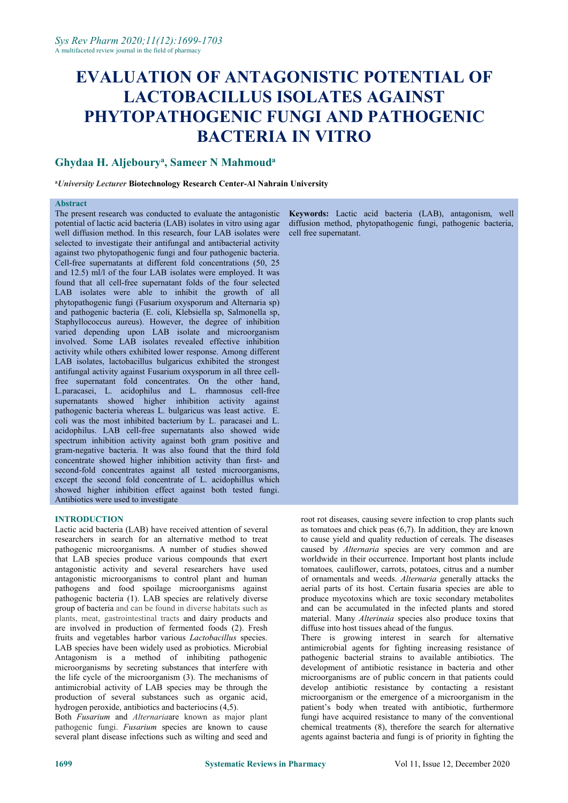# **EVALUATION OF ANTAGONISTIC POTENTIAL OF LACTOBACILLUS ISOLATES AGAINST PHYTOPATHOGENIC FUNGI AND PATHOGENIC BACTERIA IN VITRO**

#### **Ghydaa H. Aljeboury a , Sameer N Mahmoud a**

#### **<sup>a</sup>***University Lecturer* **Biotechnology Research Center-Al Nahrain University**

# **Abstract**

The present research was conducted to evaluate the antagonistic potential of lactic acid bacteria (LAB) isolates in vitro using agar well diffusion method. In this research, four LAB isolates were selected to investigate their antifungal and antibacterial activity against two phytopathogenic fungi and four pathogenic bacteria. Cell-free supernatants at different fold concentrations (50, 25 and 12.5) ml/l of the four LAB isolates were employed. It was found that all cell-free supernatant folds of the four selected LAB isolates were able to inhibit the growth of all phytopathogenic fungi (Fusarium oxysporum and Alternaria sp) and pathogenic bacteria (E. coli, Klebsiella sp, Salmonella sp, Staphyllococcus aureus). However, the degree of inhibition varied depending upon LAB isolate and microorganism involved. Some LAB isolates revealed effective inhibition activity while others exhibited lower response. Among different LAB isolates, lactobacillus bulgaricus exhibited the strongest antifungal activity against Fusarium oxysporum in all three cellfree supernatant fold concentrates. On the other hand, L.paracasei, L. acidophilus and L. rhamnosus cell-free supernatants showed higher inhibition activity against pathogenic bacteria whereas L. bulgaricus was least active. E. coli was the most inhibited bacterium by L. paracasei and L. acidophilus. LAB cell-free supernatants also showed wide spectrum inhibition activity against both gram positive and gram-negative bacteria. It was also found that the third fold concentrate showed higher inhibition activity than first- and second-fold concentrates against all tested microorganisms, except the second fold concentrate of L. acidophillus which showed higher inhibition effect against both tested fungi. Antibiotics were used to investigate

**INTRODUCTION**<br>Lactic acid bacteria (LAB) have received attention of several researchers in search for an alternative method to treat pathogenic microorganisms. A number of studies showed that LAB species produce various compounds that exert antagonistic activity and several researchers have used antagonistic microorganisms to control plant and human pathogens and food spoilage microorganisms against pathogenic bacteria (1). LAB species are relatively diverse group of bacteria and can be found in diverse habitats such as plants, meat, gastrointestinal tracts and dairy products and are involved in production of fermented foods (2). Fresh fruits and vegetables harbor various *Lactobacillus* species. LAB species have been widely used as probiotics. Microbial Antagonism is a method of inhibiting pathogenic microorganisms by secreting substances that interfere with the life cycle of the microorganism (3). The mechanisms of antimicrobial activity of LAB species may be through the production of several substances such as organic acid, hydrogen peroxide, antibiotics and bacteriocins (4,5).

Both *Fusarium* and *Alternaria*are known as major plant pathogenic fungi. *Fusarium* species are known to cause several plant disease infections such as wilting and seed and

Keywords: Lactic acid bacteria (LAB), antagonism, well diffusion method, phytopathogenic fungi, pathogenic bacteria, cell free supernatant.

root rot diseases, causing severe infection to crop plants such as tomatoes and chick peas (6,7). In addition, they are known to cause yield and quality reduction of cereals. The diseases caused by *Alternaria* species are very common and are worldwide in their occurrence. Important host plants include tomatoes*,* cauliflower, carrots, potatoes, citrus and a number of ornamentals and weeds. *Alternaria* generally attacks the aerial parts of its host. Certain fusaria species are able to produce mycotoxins which are toxic secondary metabolites and can be accumulated in the infected plants and stored material. Many *Alterinaia* species also produce toxins that diffuse into host tissues ahead of the fungus.

There is growing interest in search for alternative antimicrobial agents for fighting increasing resistance of pathogenic bacterial strains to available antibiotics. The development of antibiotic resistance in bacteria and other microorganisms are of public concern in that patients could develop antibiotic resistance by contacting a resistant microorganism or the emergence of a microorganism in the patient's body when treated with antibiotic, furthermore fungi have acquired resistance to many of the conventional chemical treatments (8), therefore the search for alternative agents against bacteria and fungi is of priority in fighting the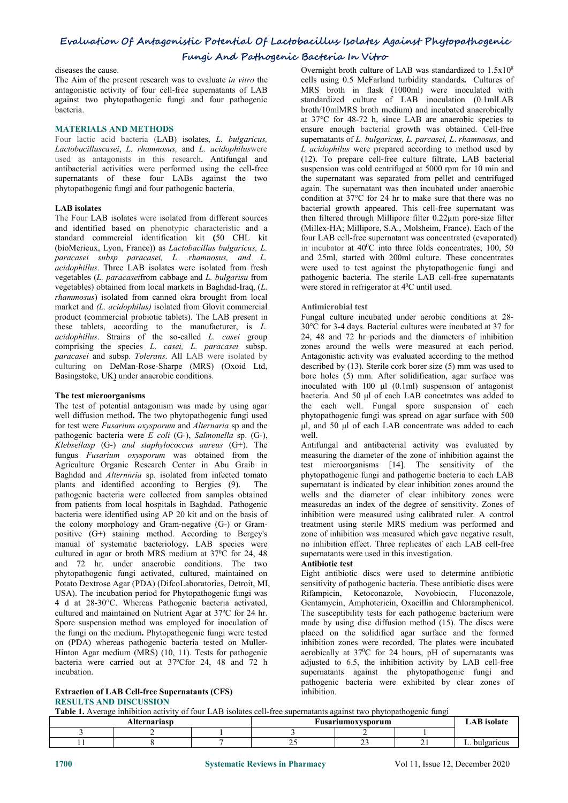# **Evaluation Of Antagonistic Potential Of Lactobacillus Isolates Against Phytopathogenic**

# **Fungi And Pathogenic Bacteria In Vitro**

diseases the cause.

The Aim of the present research was to evaluate *in vitro* the antagonistic activity of four cell-free supernatants of LAB against two phytopathogenic fungi and four pathogenic bacteria.

### **MATERIALS AND METHODS**

Four lactic acid bacteria (LAB) isolates, *L. bulgaricus, Lactobacilluscasei*, *L. rhamnosus,* and *L. acidophilus*were used as antagonists in this research. Antifungal and antibacterial activities were performed using the cell-free supernatants of these four LABs against the two phytopathogenic fungi and four pathogenic bacteria.

## **LAB isolates**

The Four LAB isolates were isolated from different sources and identified based on phenotypic characteristic and a standard commercial identification kit **(**50 CHL kit (bioMerieux, Lyon, France)) as *Lactobacillus bulgaricus, L. paracasei subsp paracasei, L .rhamnosus, and L. acidophillus*. Three LAB isolates were isolated from fresh vegetables (*L. paracasei*from cabbage and *L. bulgarisu* from vegetables) obtained from local markets in Baghdad-Iraq, (*L. rhammosus*) isolated from canned okra brought from local market and *(L. acidophilus)* isolated from Glovit commercial product (commercial probiotic tablets). The LAB present in these tablets, according to the manufacturer, is *L. acidophillus*. Strains of the so-called *L. casei* group comprising the species *L. casei, L. paracasei* subsp. *paracasei* and subsp. *Tolerans*. All LAB were isolated by culturing on DeMan-Rose-Sharpe (MRS) (Oxoid Ltd, Basingstoke, UK) under anaerobic conditions.

#### **The test microorganisms**

The test of potential antagonism was made by using agar well diffusion method**.** The two phytopathogenic fungi used for test were *Fusarium oxysporum* and *Alternaria* sp and the pathogenic bacteria were *E coli* (G-), *Salmonella* sp. (G-), *Klebsellasp* (G-) *and staphylococcus aureus* (G+). The fungus *Fusarium oxysporum* was obtained from the Agriculture Organic Research Center in Abu Graib in Baghdad and *Alternnria* sp*.* isolated from infected tomato plants and identified according to Bergies (9). The pathogenic bacteria were collected from samples obtained from patients from local hospitals in Baghdad. Pathogenic bacteria were identified using AP 20 kit and on the basis of the colony morphology and Gram-negative (G-) or Gram positive (G+) staining method. According to Bergey's manual of systematic bacteriology**.** LAB species were cultured in agar or broth MRS medium at  $37^{\circ}$ C for 24, 48 supernatants v and 72 hr. under anaerobic conditions. The two phytopathogenic fungi activated, cultured, maintained on Potato Dextrose Agar (PDA) (DifcoLaboratories, Detroit, MI, USA). The incubation period for Phytopathogenic fungi was 4 d at 28-30°C. Whereas Pathogenic bacteria activated, cultured and maintained on Nutrient Agar at37ºC for 24 hr. Spore suspension method was employed for inoculation of the fungi on the medium**.** Phytopathogenic fungi were tested on (PDA) whereas pathogenic bacteria tested on Muller-Hinton Agar medium (MRS) (10, 11). Tests for pathogenic bacteria were carried out at 37°Cfor 24, 48 and 72 h incubation.

#### **Extraction of LAB Cell-free Supernatants (CFS) RESULTS AND DISCUSSION**

Overnight broth culture of LAB was standardized to  $1.5x10<sup>8</sup>$  $8 \overline{8}$ cells using 0.5 McFarland turbidity standards**.** Cultures of MRS broth in flask (1000ml) were inoculated with standardized culture of LAB inoculation (0.1mlLAB broth/10mlMRS broth medium) and incubated anaerobically at 37°C for 48-72 h, **since** LAB are anaerobic species to ensure enough bacterial growth was obtained. Cell-free supernatants of*L. bulgaricus, L. parcasei, L*. *rhamnosus,* and *L acidophilus* were prepared according to method used by (12). To prepare cell-free culture filtrate, LAB bacterial suspension was cold centrifuged at 5000 rpm for 10 min and the supernatant was separated from pellet and centrifuged again. The supernatant was then incubated under anaerobic condition at  $37^{\circ}$ C for 24 hr to make sure that there was no bacterial growth appeared. This cell-free supernatant was then filtered through Millipore filter 0.22µm pore-size filter (Millex-HA; Millipore, S.A., Molsheim, France). Each of the four LAB cell-free supernatant was concentrated (evaporated) in incubator at 40<sup>o</sup>C into three folds concentrates; 100, 50 and 25ml, started with 200ml culture. These concentrates were used to test against the phytopathogenic fungi and pathogenic bacteria. The sterile LAB cell-free supernatants were stored in refrigerator at 4 <sup>0</sup>C until used.

### **Antimicrobial test**

Fungal culture incubated under aerobic conditions at 28- 30°C for 3-4 days. Bacterial cultures were incubated at 37 for 24, 48 and 72 hr periods and the diameters of inhibition zones around the wells were measured at each period. Antagonistic activity was evaluated according to the method described by (13). Sterile cork borer size (5) mm was used to bore holes (5) mm. After solidification, agar surface was inoculated with 100 μl (0.1ml) suspension of antagonist bacteria. And 50 μl of each LAB concetrates was added to the each well. Fungal spore suspension of each phytopathogenic fungi was spread on agar surface with 500 μl, and 50 μl of each LAB concentrate was added to each well.

Antifungal and antibacterial activity was evaluated by measuring the diameter of the zone of inhibition against the test microorganisms [14]. The sensitivity of the phytopathogenic fungi and pathogenic bacteria to each LAB supernatant is indicated by clear inhibition zones around the wells and the diameter of clear inhibitory zones were measuredas an index of the degree of sensitivity. Zones of inhibition were measured using calibrated ruler. A control treatment using sterile MRS medium was performed and zone of inhibition was measured which gave negative result, no inhibition effect. Three replicates of each LAB cell-free supernatants were used in this investigation.

#### **Antibiotic test**

Eight antibiotic discs were used to determine antibiotic sensitivity of pathogenic bacteria. These antibiotic discs were Rifampicin, Ketoconazole, Novobiocin, Fluconazole, Gentamycin, Amphotericin, Oxacillin and Chloramphenicol. The susceptibility tests for each pathogenic bacterium were made by using disc diffusion method (15). The discs were placed on the solidified agar surface and the formed inhibition zones were recorded. The plates were incubated aerobically at 37<sup>0</sup>C for 24 hours, pH of supernatants was adjusted to 6.5, the inhibition activity by LAB cell-free supernatants against the phytopathogenic fungi and pathogenic bacteria were exhibited by clear zones of inhibition.

**Table 1.** Average inhibition activity of four LAB isolates cell-free supernatants against two phytopathogenic fungi

| ot10116<br>10 U.C<br>,<br>-- |  |  | xvsporun |  |
|------------------------------|--|--|----------|--|
|                              |  |  |          |  |
|                              |  |  |          |  |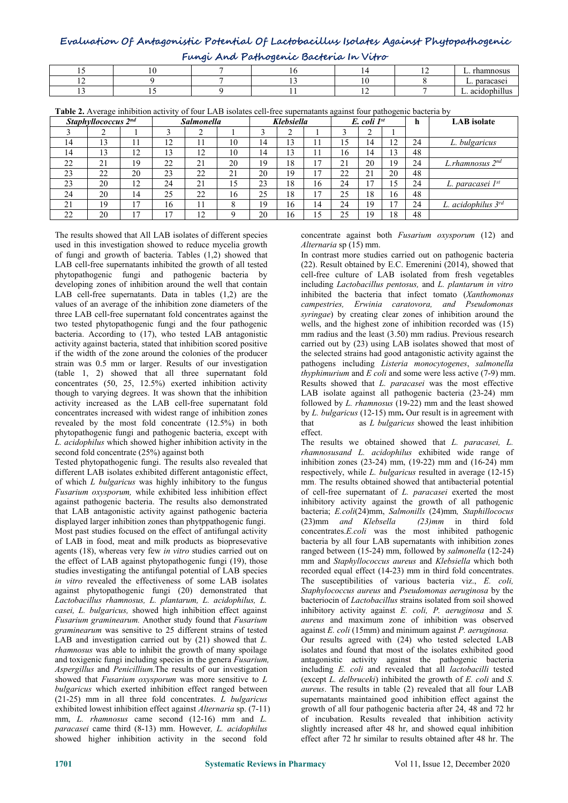# **Evaluation Of Antagonistic Potential Of Lactobacillus Isolates Against Phytopathogenic Fungi And Pathogenic Bacteria In Vitro**

| Fungi Ana Pamogenic Bacteria in Vitro |  |  |  |  |  |                       |  |  |  |  |
|---------------------------------------|--|--|--|--|--|-----------------------|--|--|--|--|
|                                       |  |  |  |  |  | rhamnosus             |  |  |  |  |
| . .                                   |  |  |  |  |  | paracase <sub>1</sub> |  |  |  |  |
|                                       |  |  |  |  |  | .<br>∟. acıdophıllus  |  |  |  |  |

| <b>Table 2.</b> Average inhibition activity of four LAB isolates cell-free supernatants against four pathogenic bacteria by |
|-----------------------------------------------------------------------------------------------------------------------------|
|-----------------------------------------------------------------------------------------------------------------------------|

|    | <b>rabic 2.</b> Average infibition activity of four LAD isolates cen-free supernatalits against four pathogenic bacteria by |    |    |                   |    |    |            |    |    |                    |    |    |                         |
|----|-----------------------------------------------------------------------------------------------------------------------------|----|----|-------------------|----|----|------------|----|----|--------------------|----|----|-------------------------|
|    | Staphyllococcus 2nd                                                                                                         |    |    | <b>Salmonella</b> |    |    | Klebsiella |    |    | $E.$ coli $1^{st}$ |    | h  | <b>LAB</b> isolate      |
|    |                                                                                                                             |    |    |                   |    |    |            |    |    |                    |    |    |                         |
| 14 | 13                                                                                                                          | 11 | 12 |                   | 10 | 14 | 13         |    | 15 | 14                 | 12 | 24 | L. bulgaricus           |
| 14 | 13                                                                                                                          | 12 |    | 12                | 10 | 14 | 13         |    | 16 | 14                 | 13 | 48 |                         |
| 22 | 21                                                                                                                          | 19 | 22 | 21                | 20 | 19 | 18         | 17 | 21 | 20                 | 19 | 24 | L.rhamnosus $2^{nd}$    |
| 23 | 22                                                                                                                          | 20 | 23 | 22                | 21 | 20 | 19         | 17 | 22 | 21                 | 20 | 48 |                         |
| 23 | 20                                                                                                                          | 12 | 24 | 21                | 15 | 23 | 18         | 16 | 24 |                    | 15 | 24 | L. paracasei 1st        |
| 24 | 20                                                                                                                          | 14 | 25 | 22                | 16 | 25 | 18         | 17 | 25 | 18                 | 16 | 48 |                         |
| 21 | 19                                                                                                                          | 17 | 16 |                   |    | 19 | 16         | 14 | 24 | 19                 |    | 24 | L. acidophilus $3^{rd}$ |
| 22 | 20                                                                                                                          | 17 | 17 | 12                | Ω  | 20 | 16         | 15 | 25 | 19                 | 18 | 48 |                         |

The results showed that All LAB isolates of different species used in this investigation showed to reduce mycelia growth of fungi and growth of bacteria. Tables (1,2) showed that LAB cell-free supernatants inhibited the growth of all tested phytopathogenic fungi and pathogenic bacteria by developing zones of inhibition around the well that contain LAB cell-free supernatants. Data in tables (1,2) are the values of an average of the inhibition zone diameters of the three LAB cell-free supernatant fold concentrates against the two tested phytopathogenic fungi and the four pathogenic bacteria. According to (17), who tested LAB antagonistic activity against bacteria, stated that inhibition scored positive if the width of the zone around the colonies of the producer strain was 0.5 mm or larger. Results of our investigation (table 1, 2) showed that all three supernatant fold concentrates (50, 25, 12.5%) exerted inhibition activity though to varying degrees. It was shown that the inhibition activity increased as the LAB cell-free supernatant fold concentrates increased with widest range of inhibition zones revealed by the most fold concentrate (12.5%) in both phytopathogenic fungi and pathogenic bacteria, except with *L. acidophilus* which showed higher inhibition activity in the second fold concentrate (25%) against both

Tested phytopathogenic fungi. The results also revealed that different LAB isolates exhibited different antagonistic effect, of which *L bulgaricus* was highly inhibitory to the fungus *Fusarium oxysporum,* while exhibited less inhibition effect against pathogenic bacteria. The results also demonstrated that LAB antagonistic activity against pathogenic bacteria displayed larger inhibition zones than phytppathogenic fungi. (23)mm and Klebsella Most past studies focused on the effect of antifungal activity of LAB in food, meat and milk products as biopresevative agents (18), whereas very few *in vitro* studies carried out on the effect of LAB against phytopathogenic fungi (19), those studies investigating the antifungal potential of LAB species *in vitro* revealed the effectiveness of some LAB isolates against phytopathogenic fungi (20) demonstrated that *Lactobacillus rhamnosus, L. plantarum, L. acidophilus, L. casei, L. bulgaricus,* showed high inhibition effect against *Fusarium graminearum.* Another study found that *Fusarium graminearum* was sensitive to 25 different strains of tested LAB and investigation carried out by (21) showed that *L. rhamnosus* was able to inhibit the growth of many spoilage and toxigenic fungi including species in the genera *Fusarium, Aspergillus* and *Penicillium.*The results of our investigation showed that *Fusarium oxysporum* was more sensitive to *L bulgaricus* which exerted inhibition effect ranged between (21-25) mm in all three fold concentrates. *L bulgaricus* exhibited lowest inhibition effect against *Alternaria* sp. (7-11) mm, *L. rhamnosus* came second (12-16) mm and *L. paracasei* came third (8-13) mm. However*, L. acidophilus* showed higher inhibition activity in the second fold

concentrate against both *Fusarium oxysporum* (12) and *Alternaria* sp (15) mm.

In contrast more studies carried out on pathogenic bacteria (22). Result obtained by E.C. Emerenini (2014), showed that cell-free culture of LAB isolated from fresh vegetables including *Lactobacillus pentosus,* and *L. plantarum in vitro* inhibited the bacteria that infect tomato (*Xanthomonas campestries, Erwinia caratovora, and Pseudomonas syringae*) by creating clear zones of inhibition around the wells, and the highest zone of inhibition recorded was (15) mm radius and the least (3.50) mm radius. Previous research carried out by (23) using LAB isolates showed that most of the selected strains had good antagonistic activity against the pathogens including *Listeria monocytogenes*, *salmonella thyphimurium* and *E coli* and some were less active (7-9) mm. Results showed that *L. paracasei* was the most effective LAB isolate against all pathogenic bacteria (23-24) mm followed by *L. rhamnosus* (19-22) mm and the least showed by *L. bulgaricus* (12-15) mm**.** Our result is in agreement with as *L bulgaricus* showed the least inhibition effect.

The results we obtained showed that *L. paracasei, L. rhamnosusand L. acidophilus* exhibited wide range of inhibition zones (23-24) mm, (19-22) mm and (16-24) mm respectively, while *L. bulgaricus* resulted in average (12-15) mm. The results obtained showed that antibacterial potential of cell-free supernatant of *L. paracasei* exerted the most inhibitory activity against the growth of all pathogenic bacteria; *E.coli*(24)mm, *Salmonills* (24)mm*, Staphillococus* (23)mm *and Klebsella (23)mm* in third fold concentrates.*E.coli* was the most inhibited pathogenic bacteria by all four LAB supernatants with inhibition zones ranged between (15-24) mm, followed by *salmonella* (12-24) mm and *Staphyllococcus aureus* and *Klebsiella* which both recorded equal effect (14-23) mm in third fold concentrates. The susceptibilities of various bacteria viz., *E. coli, Staphylococcus aureus* and *Pseudomonas aeruginosa* by the bacteriocin of *Lactobacillus* strains isolated from soil showed inhibitory activity against *E. coli, P. aeruginosa* and *S. aureus* and maximum zone of inhibition was observed against *E. coli* (15mm) and minimum against *P. aeruginosa.* Our results agreed with (24) who tested selected LAB isolates and found that mostof the isolates exhibited good antagonistic activity against the pathogenic bacteria including *E. coli* and revealed that all *lactobacilli* tested (except *L. delbruceki*) inhibited the growth of *E. coli*and *S. aureus*. The results in table (2) revealed that all four LAB supernatants maintained good inhibition effect against the growth of all four pathogenic bacteria after24,48 and 72 hr of incubation. Results revealed that inhibition activity slightly increased after 48 hr, and showed equal inhibition effect after 72 hr similar to results obtained after 48 hr. The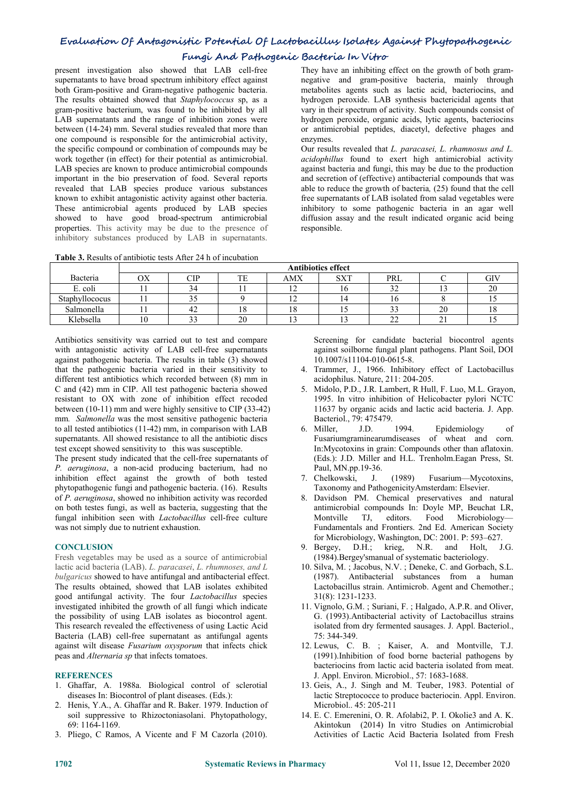# **Fungi And Pathogenic Bacteria In Vitro**

present investigation also showed that LAB cell-free supernatants to have broad spectrum inhibitory effect against both Gram-positive and Gram-negative pathogenic bacteria. The results obtained showed that *Staphylococcus* sp, as a gram-positive bacterium, was found to be inhibited by all LAB supernatants and the range of inhibition zones were between (14-24) mm. Several studies revealed that more than one compound is responsible for the antimicrobial activity, the specific compound or combination of compounds may be work together (in effect) for their potential as antimicrobial. LAB species are known to produce antimicrobial compounds important in the bio preservation of food. Several reports revealed that LAB species produce various substances known to exhibit antagonistic activity against other bacteria. These antimicrobial agents produced by LAB species showed to have good broad-spectrum antimicrobial properties. This activity may be due to the presence of inhibitory substances produced by LAB in supernatants.

**Table 3.** Results of antibiotic tests After 24 h of incubation

They have an inhibiting effect on the growth of both gram negative and gram-positive bacteria, mainly through metabolites agents such as lactic acid, bacteriocins, and hydrogen peroxide. LAB synthesis bactericidal agents that vary in their spectrum of activity. Such compounds consist of hydrogen peroxide, organic acids, lytic agents, bacteriocins or antimicrobial peptides, diacetyl, defective phages and enzymes.

Our results revealed that *L. paracasei, L. rhamnosus and L. acidophillus* found to exerthigh antimicrobial activity against bacteria and fungi, this may be due to the production and secretion of (effective) antibacterial compounds that was able to reduce the growth of bacteria*,* (25) found that the cell free supernatants of LAB isolated from salad vegetables were inhibitory to some pathogenic bacteria in an agar well diffusion assay and the result indicated organic acid being responsible.

|                | <b>Antibiotics effect</b> |                      |    |                                                      |             |               |                      |     |  |  |  |
|----------------|---------------------------|----------------------|----|------------------------------------------------------|-------------|---------------|----------------------|-----|--|--|--|
| Bacteria       | OХ                        | $\cap$ id<br>◡⊥      | TE | AMX                                                  | CVTT<br>SАI | PRL           |                      | GIV |  |  |  |
| E. coli        | . .                       | $\sim$<br>ىر         |    | $\overline{\phantom{a}}$<br>$\overline{1}$           | 1 V         | $\sim$<br>ے ر |                      | 20  |  |  |  |
| Staphyllococus | . .                       | $\sim$ $\sim$<br>ر ر |    | $\overline{\phantom{a}}$<br>⊥ ∠                      |             | 16            |                      | . . |  |  |  |
| Salmonella     | . .                       | $\sim$<br>4∠         | 18 | 18                                                   |             | $\sim$<br>ر ر | 20                   | 18  |  |  |  |
| Klebsella      | 10                        | $\sim$<br>--         | 20 | $\overline{\phantom{a}}$<br>$\overline{\phantom{0}}$ |             | $\sim$<br>∸   | $\sim$<br><u>. 1</u> |     |  |  |  |

Antibiotics sensitivity was carried out to test and compare with antagonistic activity of LAB cell-free supernatants against pathogenic bacteria. The results in table (3) showed that the pathogenic bacteria varied in their sensitivity to different test antibiotics which recorded between (8) mm in C and (42) mm in CIP. All test pathogenic bacteria showed resistant to OX with zone of inhibition effect recoded between (10-11) mm and were highly sensitive to CIP (33-42) mm*. Salmonella* was the most sensitive pathogenic bacteria to all tested antibiotics (11-42) mm, in comparison with LAB supernatants. All showed resistance to all the antibiotic discs test except showed sensitivity to this was susceptible.

The present study indicated that the cell-free supernatants of *P. aeruginosa*, a non-acid producing bacterium, had no inhibition effect against the growth of both tested phytopathogenic fungi and pathogenic bacteria.(16). Results of *P. aeruginosa*, showed no inhibition activity was recorded on both testes fungi, as well as bacteria, suggesting that the fungal inhibition seen with *Lactobacillus* cell-free culture was not simply due to nutrient exhaustion.

#### **CONCLUSION**

Fresh vegetables may be used as a source of antimicrobial lactic acid bacteria (LAB). *L. paracasei*, *L. rhumnoses, and L bulgaricus* showed to have antifungal and antibacterial effect. The results obtained, showed that LAB isolates exhibited good antifungal activity. The four *Lactobacillus* species investigated inhibited the growth of all fungi which indicate the possibility of using LAB isolates as biocontrol agent. This research revealed the effectiveness of using Lactic Acid Bacteria (LAB) cell-free supernatant as antifungal agents against wilt disease *Fusarium oxysporum* that infects chick peas and *Alternaria sp* that infects tomatoes.

#### **REFERENCES**

- 1. Ghaffar, A. 1988a. Biological control of sclerotial diseases In: Biocontrol of plant diseases. (Eds.):
- 2. Henis, Y.A., A. Ghaffar and R. Baker. 1979. Induction of soil suppressive to Rhizoctoniasolani. Phytopathology, 69: 1164-1169.
- 3. Pliego, C Ramos, A Vicente and F M Cazorla (2010).

Screening for candidate bacterial biocontrol agents against soilborne fungal plant pathogens. Plant Soil, DOI 10.1007/s11104-010-0615-8.

- 4. Trammer, J., 1966. Inhibitory effect of Lactobacillus acidophilus. Nature, 211: 204-205.
- 5. Midolo, P.D., J.R. Lambert, R Hull, F. Luo, M.L. Grayon, 1995. In vitro inhibition of Helicobacter pylori NCTC 11637 by organic acids and lactic acid bacteria. J. App. Bacteriol., 79: 475479.
- 1994. Epidemiology of Fusariumgraminearumdiseases of wheat and corn. In:Mycotoxins in grain: Compounds other than aflatoxin. (Eds.): J.D. Miller and H.L. Trenholm.Eagan Press, St. Paul, MN.pp.19-36.
- (1989) Fusarium—Mycotoxins, Taxonomy and PathogenicityAmsterdam: Elsevier.
- 8. Davidson PM. Chemical preservatives and natural antimicrobial compounds In: Doyle MP, Beuchat LR, TJ, editors. Food Microbiology— Fundamentals and Frontiers. 2nd Ed. American Society for Microbiology, Washington, DC: 2001. P: 593–627.
- 9. Bergey, D.H.; krieg, N.R. and Holt, J.G. (1984).Bergey'smanual of systematic bacteriology.
- 10. Silva, M. ; Jacobus, N.V. ; Deneke, C. and Gorbach, S.L. (1987). Antibacterial substances from a human Lactobacillus strain. Antimicrob. Agent and Chemother.; 31(8): 1231-1233.
- 11. Vignolo, G.M. ; Suriani, F. ; Halgado, A.P.R. and Oliver, G. (1993).Antibacterial activity of Lactobacillus strains isolated from dry fermented sausages.J. Appl. Bacteriol., 75: 344-349.
- 12. Lewus, C. B. ; Kaiser, A. and Montville, T.J. (1991).Inhibition of food borne bacterial pathogens by bacteriocins from lactic acid bacteria isolated from meat.J. Appl. Environ. Microbiol., 57: 1683-1688.
- 13. Geis, A., J. Singh and M. Teuber, 1983. Potential of lactic Streptococce to produce bacteriocin. Appl. Environ. Microbiol.. 45: 205-211
- 14. E. C. Emerenini, O. R. Afolabi2, P. I. Okolie3 and A. K. Akintokun (2014) In vitro Studies on Antimicrobial Activities of Lactic Acid Bacteria Isolated from Fresh